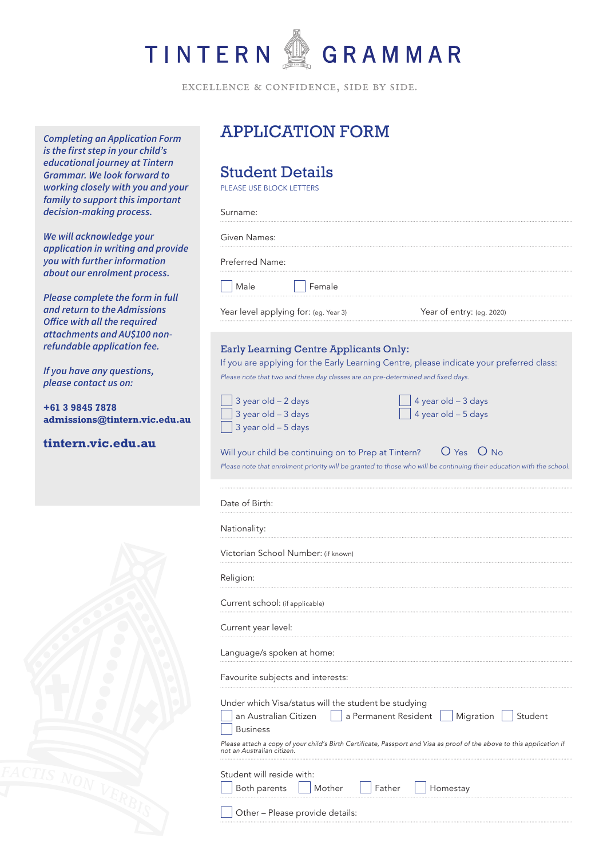

EXCELLENCE & CONFIDENCE, SIDE BY SIDE.

*Completing an Application Form is the first step in your child's educational journey at Tintern Grammar. We look forward to working closely with you and your family to support this important decision-making process.*

*We will acknowledge your application in writing and provide you with further information about our enrolment process.*

*Please complete the form in full and return to the Admissions Office with all the required attachments and AU\$100 nonrefundable application fee.* 

*If you have any questions, please contact us on:*

**+61 3 9845 7878 admissions@tintern.vic.edu.au**

**tintern.vic.edu.au**



# APPLICATION FORM

## Student Details

PLEASE USE BLOCK LETTERS

Surname: Given Names: Preferred Name: Male Female Year level applying for: (eg. Year 3) Year of entry: (eg. 2020) Early Learning Centre Applicants Only: If you are applying for the Early Learning Centre, please indicate your preferred class: Please note that two and three day classes are on pre-determined and fixed days.

| 3 year old - 2 days   |
|-----------------------|
| 3 year old - 3 days   |
| $3$ year old - 5 days |

4 year old – 3 days 4 year old – 5 days

Will your child be continuing on to Prep at Tintern? O Yes O No *Please note that enrolment priority will be granted to those who will be continuing their education with the school.*

| Date of Birth: |  |
|----------------|--|
| Nationality:   |  |
|                |  |

Victorian School Number: (if known)

Religion:

Current school: (if applicable)

Current year level:

Language/s spoken at home:

Favourite subjects and interests:

|  | Under which Visa/status will the student be studying |  |  |  |
|--|------------------------------------------------------|--|--|--|
|  |                                                      |  |  |  |

an Australian Citizen  $\|\cdot\|$  a Permanent Resident  $\|\cdot\|$  Migration  $\|\cdot\|$  Student Business Please attach a copy of your child's Birth Certificate, Passport and Visa as proof of the above to this application if *not an Australian citizen.*  Student will reside with: Both parents  $\Box$  Mother  $\Box$  Father  $\Box$  Homestay

Other – Please provide details: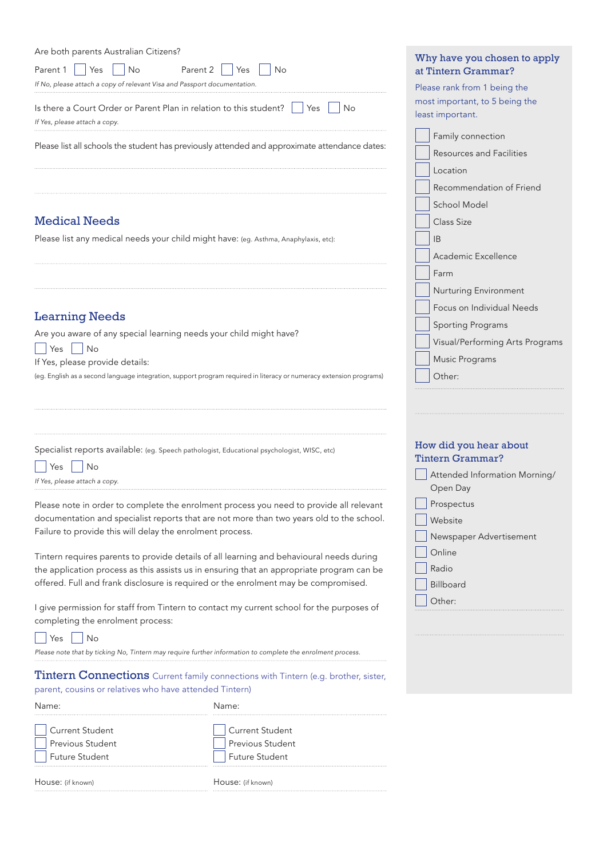| Are both parents Australian Citizens?                                                                                                                                      | Wh           |
|----------------------------------------------------------------------------------------------------------------------------------------------------------------------------|--------------|
| Parent $1 \mid \frac{1}{2}$ Yes<br>$\overline{\phantom{a}}$ No<br>Parent 2<br><b>No</b><br>Yes<br>If No, please attach a copy of relevant Visa and Passport documentation. | atT<br>Plea  |
| Is there a Court Order or Parent Plan in relation to this student? $\ \cdot\ $<br>Yes<br>No<br>If Yes, please attach a copy.                                               | mos<br>least |
| Please list all schools the student has previously attended and approximate attendance dates:                                                                              |              |
|                                                                                                                                                                            |              |
| <b>Medical Needs</b>                                                                                                                                                       |              |
| Please list any medical needs your child might have: (eg. Asthma, Anaphylaxis, etc):                                                                                       |              |
|                                                                                                                                                                            |              |
|                                                                                                                                                                            |              |
| <b>Learning Needs</b>                                                                                                                                                      |              |
| Are you aware of any special learning needs your child might have?                                                                                                         |              |
| <b>No</b>                                                                                                                                                                  |              |
| Yes                                                                                                                                                                        |              |
| If Yes, please provide details:                                                                                                                                            |              |

Specialist reports available: (eg. Speech pathologist, Educational psychologist, WISC, etc)

| $\Box$ Yes $\Box$ No |                               |
|----------------------|-------------------------------|
|                      | If Yes, please attach a copy. |

Please note in order to complete the enrolment process you need to provide all relevant documentation and specialist reports that are not more than two years old to the school. Failure to provide this will delay the enrolment process.

(eg. English as a second language integration, support program required in literacy or numeracy extension programs)

Tintern requires parents to provide details of all learning and behavioural needs during the application process as this assists us in ensuring that an appropriate program can be offered. Full and frank disclosure is required or the enrolment may be compromised.

I give permission for staff from Tintern to contact my current school for the purposes of completing the enrolment process:

 $Yes$  No

*Please note that by ticking No, Tintern may require further information to complete the enrolment process.* 

Tintern Connections Current family connections with Tintern (e.g. brother, sister, parent, cousins or relatives who have attended Tintern)

| Name:                                                               | Name:                                                                      |  |
|---------------------------------------------------------------------|----------------------------------------------------------------------------|--|
| Current Student<br><b>Previous Student</b><br><b>Future Student</b> | <b>Current Student</b><br><b>Previous Student</b><br><b>Future Student</b> |  |
| House: (if known)                                                   | House: (if known)                                                          |  |

#### y have you chosen to apply intern Grammar?

se rank from 1 being the t important, to 5 being the important.

| Family connection               |
|---------------------------------|
| <b>Resources and Facilities</b> |
| Location                        |
| Recommendation of Friend        |
| <b>School Model</b>             |
| <b>Class Size</b>               |
| <b>IB</b>                       |
| Academic Excellence             |
| Farm                            |
| Nurturing Environment           |
| Focus on Individual Needs       |
| <b>Sporting Programs</b>        |
| Visual/Performing Arts Programs |
| Music Programs                  |
| Other:                          |
|                                 |

#### How did you hear about Tintern Grammar?

| Attended Information Morning/ |
|-------------------------------|
| Open Day                      |
| Prospectus                    |
| Website                       |
| Newspaper Advertisement       |
| Online                        |
| Radio                         |
| Billboard                     |
| Other:                        |
|                               |
|                               |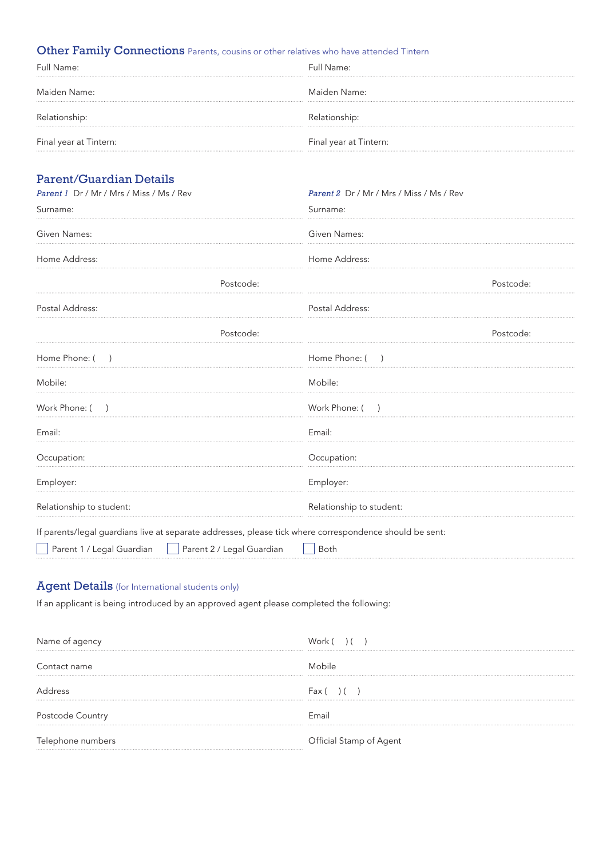## Other Family Connections Parents, cousins or other relatives who have attended Tintern

| Full Name:             | Full Name:             |
|------------------------|------------------------|
| Maiden Name:           | Maiden Name:           |
| Relationship:          | Relationship:          |
| Final year at Tintern: | Final year at Tintern: |

## Parent/Guardian Details

| Parent 1 Dr / Mr / Mrs / Miss / Ms / Rev                                                                |                           | Parent 2 Dr / Mr / Mrs / Miss / Ms / Rev  |           |
|---------------------------------------------------------------------------------------------------------|---------------------------|-------------------------------------------|-----------|
| Surname:                                                                                                |                           | Surname:                                  |           |
| Given Names:                                                                                            |                           | Given Names:                              |           |
| Home Address:                                                                                           |                           | Home Address:                             |           |
|                                                                                                         | Postcode:                 |                                           | Postcode: |
| Postal Address:                                                                                         |                           | Postal Address:                           |           |
|                                                                                                         | Postcode:                 |                                           | Postcode: |
| Home Phone: (                                                                                           |                           | Home Phone: (<br>$\overline{\phantom{a}}$ |           |
| Mobile:                                                                                                 |                           | Mobile:                                   |           |
| Work Phone: (                                                                                           |                           | Work Phone: (                             |           |
| Email:                                                                                                  |                           | Email:                                    |           |
| Occupation:                                                                                             |                           | Occupation:                               |           |
| Employer:                                                                                               |                           | Employer:                                 |           |
| Relationship to student:                                                                                |                           | Relationship to student:                  |           |
| If parents/legal guardians live at separate addresses, please tick where correspondence should be sent: |                           |                                           |           |
| Parent 1 / Legal Guardian                                                                               | Parent 2 / Legal Guardian | Both                                      |           |

## Agent Details (for International students only)

If an applicant is being introduced by an approved agent please completed the following:

| Name of agency    | Work () ()              |
|-------------------|-------------------------|
| Contact name      | Mobile                  |
| Address           | Fax()()                 |
| Postcode Country  | Fmail                   |
| Telephone numbers | Official Stamp of Agent |